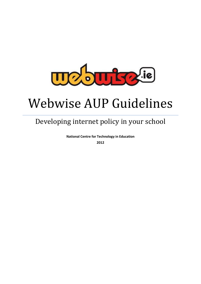

# Webwise AUP Guidelines

# Developing internet policy in your school

**National Centre for Technology in Education 2012**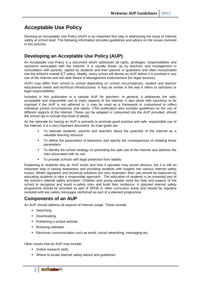# **Acceptable Use Policy**

Devising an Acceptable Use Policy (AUP) is an important first step in addressing the issue of Internet safety at school level. The following information provides guidelines and advice on the issues involved in this process.

# **Developing an Acceptable Use Policy (AUP)**

An Acceptable Use Policy is a document which addresses all rights, privileges, responsibilities and sanctions associated with the Internet. It is usually drawn up by teachers and management in consultation with parents, signed by students and their parents or guardians and often incorporated into the school's overall ICT policy. Ideally, every school will devise an AUP before it is involved in any use of the Internet and will seek Board of Management endorsement (for legal reasons).

AUPs may differ from school to school depending on school circumstances, student and teacher educational needs and technical infrastructures. It may be similar in the way it refers to sanctions or legal responsibilities.

Included in this publication is a sample AUP for teachers. In general, it addresses the safe, acceptable and responsible use of many aspects of the Internet. It also deals with sanctions to be imposed if the AUP is not adhered to. It may be used as a framework or customised to reflect individual school circumstances and needs. (This publication also includes guidelines on the use of different aspects of the Internet. These can be adapted or subsumed into the AUP provided, should the school opt to include that level of detail).

As the rationale for having an AUP is primarily to promote good practice and safe, responsible use of the Internet, it is a very important document. Its main goals are:

- To educate students, parents and teachers about the potential of the Internet as a valuable learning resource
- To define the parameters of behaviour and specify the consequences of violating those parameters
- To identify the school strategy on promoting the safe use of the Internet and address the risks associated with its use
- To provide schools with legal protection from liability

Explaining to students why an AUP exists and how it operates may sound obvious, but it is still an important step in raising awareness and providing students with insights into various Internet safety issues. Whilst regulation and technical solutions are very important, their use should be balanced by educating students to take a responsible approach. The education of students is an essential part of the school's internet safety provision. Children and young people need the help and support of the school to recognise and avoid e-safety risks and build their resilience. A planned internet safety programme should be provided as part of SPHE or other curriculum areas and should be regularly revisited with key safety messages reinforced as part of a planned programme.

# **Components of an AUP**

An AUP should address all aspects of Internet usage. These include:

- **Searching**
- **-** Downloading
- Publishing a school website
- **Browsing websites**
- Electronic communication such as email, social networking, messaging etc.

Other issues that an AUP may include:

- Online research skills
- Where to locate Internet safety advice and guidelines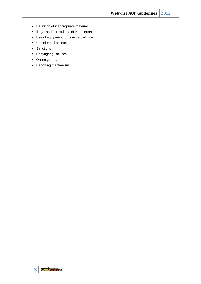- **•** Definition of inappropriate material
- **Illegal and harmful use of the Internet**
- Use of equipment for commercial gain
- Use of email accounts
- **Sanctions**
- Copyright guidelines
- Online games
- **Reporting mechanisms**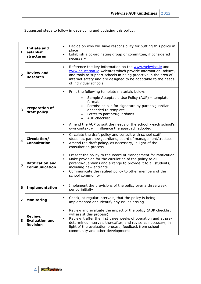Suggested steps to follow in developing and updating this policy:

| $\mathbf{1}$            | Initiate and<br>establish<br>structures             | Decide on who will have responsibility for putting this policy in<br>place<br>Establish a co-ordinating group or committee, if considered<br>necessary                                                                                                                                                                         |
|-------------------------|-----------------------------------------------------|--------------------------------------------------------------------------------------------------------------------------------------------------------------------------------------------------------------------------------------------------------------------------------------------------------------------------------|
| $\overline{\mathbf{2}}$ | <b>Review and</b><br><b>Research</b>                | Reference the key information on the www.webwise.ie and<br>$\bullet$<br>www.education.ie websites which provide information, advice,<br>and tools to support schools in being proactive in the area of<br>internet safety and are designed to be adaptable to the needs<br>of individual schools.                              |
| 3                       | <b>Preparation of</b><br>draft policy               | Print the following template materials below:<br>٠<br>Sample Acceptable Use Policy (AUP) - template<br>format<br>Permission slip for signature by parent/guardian -<br>$\bullet$<br>appended to template<br>Letter to parents/guardians<br><b>AUP checklist</b>                                                                |
|                         |                                                     | Amend the AUP to suit the needs of the school - each school's<br>٠.<br>own context will influence the approach adopted                                                                                                                                                                                                         |
| $\overline{\mathbf{4}}$ | Circulation/<br><b>Consultation</b>                 | Circulate the draft policy and consult with school staff,<br>٠<br>students, parents/guardians, board of management/trustees<br>Amend the draft policy, as necessary, in light of the<br>consultation process                                                                                                                   |
| 5                       | <b>Ratification and</b><br><b>Communication</b>     | Present the policy to the Board of Management for ratification<br>٠<br>Make provision for the circulation of the policy to all<br>$\blacksquare$<br>parents/guardians and arrange to provide it to all students,<br>including new entrants<br>Communicate the ratified policy to other members of the<br>٠<br>school community |
| 6                       | <b>Implementation</b>                               | Implement the provisions of the policy over a three week<br>period initially                                                                                                                                                                                                                                                   |
| 7                       | <b>Monitoring</b>                                   | Check, at regular intervals, that the policy is being<br>implemented and identify any issues arising                                                                                                                                                                                                                           |
| 8                       | Review,<br><b>Evaluation and</b><br><b>Revision</b> | Review and evaluate the impact of the policy (AUP checklist<br>٠<br>will assist this process)<br>Review it after the first three weeks of operation and at pre-<br>determined intervals thereafter, and revise as necessary, in<br>light of the evaluation process, feedback from school<br>community and other developments   |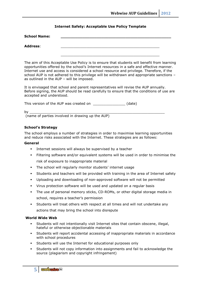#### **Internet Safety: Acceptable Use Policy Template**

| <b>School Name:</b> |  |  |  |
|---------------------|--|--|--|
| <b>Address:</b>     |  |  |  |
|                     |  |  |  |

The aim of this Acceptable Use Policy is to ensure that students will benefit from learning opportunities offered by the school's Internet resources in a safe and effective manner. Internet use and access is considered a school resource and privilege. Therefore, if the school AUP is not adhered to this privilege will be withdrawn and appropriate sanctions – as outlined in the AUP – will be imposed.

It is envisaged that school and parent representatives will revise the AUP annually. Before signing, the AUP should be read carefully to ensure that the conditions of use are accepted and understood.

This version of the AUP was created on \_\_\_\_\_\_\_\_\_\_\_\_\_\_\_\_\_\_\_\_ (date)

by \_\_\_\_\_\_\_\_\_\_\_\_\_\_\_\_\_\_\_\_\_\_\_\_\_\_\_\_\_\_\_\_\_\_\_\_\_\_\_\_\_\_\_\_\_\_\_\_\_\_\_\_\_\_\_\_\_\_\_\_\_\_\_

(name of parties involved in drawing up the AUP)

#### **School's Strategy**

The school employs a number of strategies in order to maximise learning opportunities and reduce risks associated with the Internet. These strategies are as follows:

#### **General**

- Internet sessions will always be supervised by a teacher
- Filtering software and/or equivalent systems will be used in order to minimise the risk of exposure to inappropriate material
- The school will regularly monitor students' internet usage
- Students and teachers will be provided with training in the area of Internet safety
- Uploading and downloading of non-approved software will not be permitted
- Virus protection software will be used and updated on a regular basis
- The use of personal memory sticks, CD-ROMs, or other digital storage media in school, requires a teacher's permission
- Students will treat others with respect at all times and will not undertake any actions that may bring the school into disrepute

#### **World Wide Web**

- Students will not intentionally visit Internet sites that contain obscene, illegal, hateful or otherwise objectionable materials
- Students will report accidental accessing of inappropriate materials in accordance with school procedures
- Students will use the Internet for educational purposes only
- Students will not copy information into assignments and fail to acknowledge the source (plagiarism and copyright infringement)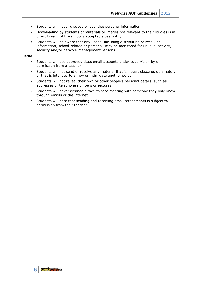- Students will never disclose or publicise personal information
- Downloading by students of materials or images not relevant to their studies is in direct breach of the school's acceptable use policy
- Students will be aware that any usage, including distributing or receiving information, school-related or personal, may be monitored for unusual activity, security and/or network management reasons

#### **Email**

- Students will use approved class email accounts under supervision by or permission from a teacher
- Students will not send or receive any material that is illegal, obscene, defamatory or that is intended to annoy or intimidate another person
- Students will not reveal their own or other people's personal details, such as addresses or telephone numbers or pictures
- Students will never arrange a face-to-face meeting with someone they only know through emails or the internet
- Students will note that sending and receiving email attachments is subject to permission from their teacher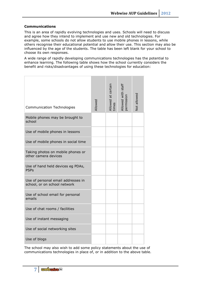#### **Communications**

This is an area of rapidly evolving technologies and uses. Schools will need to discuss and agree how they intend to implement and use new and old technologies. For example, some schools do not allow students to use mobile phones in lessons, while others recognise their educational potential and allow their use. This section may also be influenced by the age of the students. The table has been left blank for your school to choose its own responses.

A wide range of rapidly developing communications technologies has the potential to enhance learning. The following table shows how the school currently considers the benefit and risks/disadvantages of using these technologies for education:

| <b>Communication Technologies</b>                                  | Allowed | Allowed at certain<br>times | Allowed with staff<br>permission | Not allowed |
|--------------------------------------------------------------------|---------|-----------------------------|----------------------------------|-------------|
| Mobile phones may be brought to<br>school                          |         |                             |                                  |             |
| Use of mobile phones in lessons                                    |         |                             |                                  |             |
| Use of mobile phones in social time                                |         |                             |                                  |             |
| Taking photos on mobile phones or<br>other camera devices          |         |                             |                                  |             |
| Use of hand held devices eg PDAs,<br><b>PSPs</b>                   |         |                             |                                  |             |
| Use of personal email addresses in<br>school, or on school network |         |                             |                                  |             |
| Use of school email for personal<br>emails                         |         |                             |                                  |             |
| Use of chat rooms / facilities                                     |         |                             |                                  |             |
| Use of instant messaging                                           |         |                             |                                  |             |
| Use of social networking sites                                     |         |                             |                                  |             |
| Use of blogs                                                       |         |                             |                                  |             |

The school may also wish to add some policy statements about the use of communications technologies in place of, or in addition to the above table.

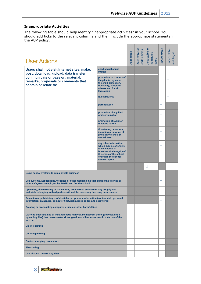## **Inappropriate Activities**

The following table should help identify "inappropriate activities" in your school. You should add ticks to the relevant columns and then include the appropriate statements in the AUP policy.

| <b>User Actions</b>                                                                                                                                                                             |                                                                                                                                                                       | Acceptable | Acceptable at<br>certain times | Acceptable for<br>nominated<br>users | Unacceptable | Unacceptable<br>and illegal |
|-------------------------------------------------------------------------------------------------------------------------------------------------------------------------------------------------|-----------------------------------------------------------------------------------------------------------------------------------------------------------------------|------------|--------------------------------|--------------------------------------|--------------|-----------------------------|
| Users shall not visit Internet sites, make,                                                                                                                                                     | child sexual abuse<br><b>images</b>                                                                                                                                   |            |                                |                                      |              | Н                           |
| post, download, upload, data transfer,<br>communicate or pass on, material,<br>remarks, proposals or comments that<br>contain or relate to:                                                     | promotion or conduct of<br>illegal acts, eg under<br>the child protection,<br>obscenity, computer<br>misuse and fraud<br>legislation                                  |            |                                |                                      |              | $\mathbf{L}$                |
|                                                                                                                                                                                                 | racist material                                                                                                                                                       |            |                                |                                      |              | $\mathbf{I}$                |
|                                                                                                                                                                                                 | pornography                                                                                                                                                           |            |                                |                                      | П            |                             |
|                                                                                                                                                                                                 | promotion of any kind<br>of discrimination                                                                                                                            |            |                                |                                      | П            |                             |
|                                                                                                                                                                                                 | promotion of racial or<br>religious hatred                                                                                                                            |            |                                |                                      | П            |                             |
|                                                                                                                                                                                                 | threatening behaviour,<br>including promotion of<br>physical violence or<br>mental harm                                                                               |            |                                |                                      | П            |                             |
|                                                                                                                                                                                                 | any other information<br>which may be offensive<br>to colleagues or<br>breaches the integrity of<br>the ethos of the school<br>or brings the school<br>into disrepute |            |                                |                                      | Ш            |                             |
|                                                                                                                                                                                                 |                                                                                                                                                                       |            |                                | $\Box$                               |              |                             |
| Using school systems to run a private business                                                                                                                                                  |                                                                                                                                                                       |            |                                |                                      | П            |                             |
| Use systems, applications, websites or other mechanisms that bypass the filtering or<br>other safeguards employed by SWGfL and / or the school                                                  |                                                                                                                                                                       |            |                                |                                      | Н            |                             |
| Uploading, downloading or transmitting commercial software or any copyrighted<br>materials belonging to third parties, without the necessary licensing permissions                              |                                                                                                                                                                       |            |                                |                                      | П            |                             |
| Revealing or publicising confidential or proprietary information (eg financial / personal<br>information, databases, computer / network access codes and passwords)                             |                                                                                                                                                                       |            |                                |                                      | П            |                             |
| Creating or propagating computer viruses or other harmful files                                                                                                                                 |                                                                                                                                                                       |            |                                |                                      |              |                             |
| Carrying out sustained or instantaneous high volume network traffic (downloading /<br>uploading files) that causes network congestion and hinders others in their use of the<br><b>internet</b> |                                                                                                                                                                       |            |                                |                                      |              |                             |
| On-line gaming                                                                                                                                                                                  |                                                                                                                                                                       |            |                                |                                      |              |                             |
| <b>On-line gambling</b>                                                                                                                                                                         |                                                                                                                                                                       |            |                                |                                      |              |                             |
| On-line shopping / commerce                                                                                                                                                                     |                                                                                                                                                                       |            |                                |                                      |              |                             |
| <b>File sharing</b>                                                                                                                                                                             |                                                                                                                                                                       |            |                                |                                      |              |                             |
| Use of social networking sites                                                                                                                                                                  |                                                                                                                                                                       |            |                                |                                      |              |                             |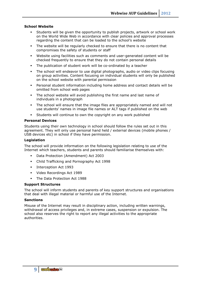#### **School Website**

- Students will be given the opportunity to publish projects, artwork or school work on the World Wide Web in accordance with clear policies and approval processes regarding the content that can be loaded to the school's website
- The website will be regularly checked to ensure that there is no content that compromises the safety of students or staff
- Website using facilities such as comments and user-generated content will be checked frequently to ensure that they do not contain personal details
- The publication of student work will be co-ordinated by a teacher
- The school will endeavor to use digital photographs, audio or video clips focusing on group activities. Content focusing on individual students will only be published on the school website with parental permission
- Personal student information including home address and contact details will be omitted from school web pages
- The school website will avoid publishing the first name and last name of individuals in a photograph
- The school will ensure that the image files are appropriately named and will not use students' names in image file names or ALT tags if published on the web
- Students will continue to own the copyright on any work published

#### **Personal Devices**

Students using their own technology in school should follow the rules set out in this agreement. They will only use personal hand held / external devices (mobile phones / USB devices etc) in school if they have permission.

#### **Legislation**

The school will provide information on the following legislation relating to use of the Internet which teachers, students and parents should familiarise themselves with:

- Data Protection (Amendment) Act 2003
- Child Trafficking and Pornography Act 1998
- **Interception Act 1993**
- Video Recordings Act 1989
- The Data Protection Act 1988

#### **Support Structures**

The school will inform students and parents of key support structures and organisations that deal with illegal material or harmful use of the Internet.

#### **Sanctions**

Misuse of the Internet may result in disciplinary action, including written warnings, withdrawal of access privileges and, in extreme cases, suspension or expulsion. The school also reserves the right to report any illegal activities to the appropriate authorities.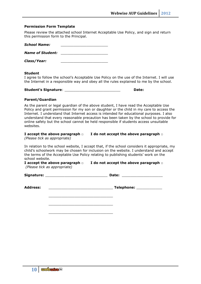#### **Permission Form Template**

Please review the attached school Internet Acceptable Use Policy, and sign and return this permission form to the Principal.

| <b>School Name:</b>     |  |
|-------------------------|--|
| <b>Name of Student:</b> |  |
| Class/Year:             |  |

#### **Student**

I agree to follow the school's Acceptable Use Policy on the use of the Internet. I will use the Internet in a responsible way and obey all the rules explained to me by the school.

| <b>Student's Signature:</b> |  | Date: |
|-----------------------------|--|-------|
|-----------------------------|--|-------|

#### **Parent/Guardian**

As the parent or legal guardian of the above student, I have read the Acceptable Use Policy and grant permission for my son or daughter or the child in my care to access the Internet. I understand that Internet access is intended for educational purposes. I also understand that every reasonable precaution has been taken by the school to provide for online safety but the school cannot be held responsible if students access unsuitable websites.

### **I accept the above paragraph** □ **I do not accept the above paragraph** □

*(Please tick as appropriate)*

In relation to the school website, I accept that, if the school considers it appropriate, my child's schoolwork may be chosen for inclusion on the website. I understand and accept the terms of the Acceptable Use Policy relating to publishing students' work on the school website.

**I accept the above paragraph** □ **I do not accept the above paragraph** □ *(Please tick as appropriate)*

| Signature: | Date: |  |
|------------|-------|--|
|            |       |  |

| <b>Address:</b> |
|-----------------|
|-----------------|

| <b>Address:</b> | Telephone: |  |
|-----------------|------------|--|
|                 |            |  |

\_\_\_\_\_\_\_\_\_\_\_\_\_\_\_\_\_\_\_\_\_\_\_\_\_\_\_\_\_\_ \_\_\_\_\_\_\_\_\_\_\_\_\_\_\_\_\_\_\_\_\_\_\_\_\_\_\_\_\_\_

\_\_\_\_\_\_\_\_\_\_\_\_\_\_\_\_\_\_\_\_\_\_\_\_\_\_\_\_\_\_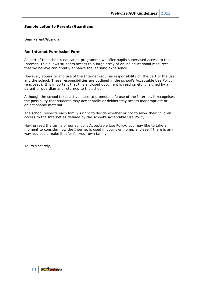#### **Sample Letter to Parents/Guardians**

Dear Parent/Guardian,

#### **Re: Internet Permission Form**

As part of the school's education programme we offer pupils supervised access to the Internet. This allows students access to a large array of online educational resources that we believe can greatly enhance the learning experience.

However, access to and use of the Internet requires responsibility on the part of the user and the school. These responsibilities are outlined in the school's Acceptable Use Policy (enclosed). It is important that this enclosed document is read carefully, signed by a parent or guardian and returned to the school.

Although the school takes active steps to promote safe use of the Internet, it recognises the possibility that students may accidentally or deliberately access inappropriate or objectionable material.

The school respects each family's right to decide whether or not to allow their children access to the Internet as defined by the school's Acceptable Use Policy.

Having read the terms of our school's Acceptable Use Policy, you may like to take a moment to consider how the Internet is used in your own home, and see if there is any way you could make it safer for your own family.

Yours sincerely,